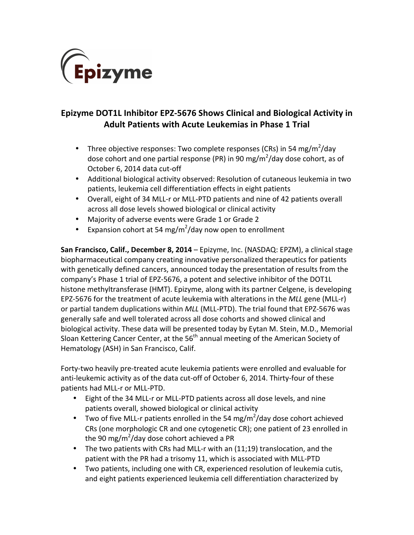

# **Epizyme DOT1L Inhibitor EPZ-5676 Shows Clinical and Biological Activity in Adult Patients with Acute Leukemias in Phase 1 Trial**

- Three objective responses: Two complete responses (CRs) in 54 mg/m<sup>2</sup>/day dose cohort and one partial response (PR) in 90 mg/m<sup>2</sup>/day dose cohort, as of October 6, 2014 data cut-off
- Additional biological activity observed: Resolution of cutaneous leukemia in two patients, leukemia cell differentiation effects in eight patients
- Overall, eight of 34 MLL-r or MLL-PTD patients and nine of 42 patients overall across all dose levels showed biological or clinical activity
- Majority of adverse events were Grade 1 or Grade 2
- Expansion cohort at 54 mg/m<sup>2</sup>/day now open to enrollment

**San Francisco, Calif., December 8, 2014** – Epizyme, Inc. (NASDAQ: EPZM), a clinical stage biopharmaceutical company creating innovative personalized therapeutics for patients with genetically defined cancers, announced today the presentation of results from the company's Phase 1 trial of EPZ-5676, a potent and selective inhibitor of the DOT1L histone methyltransferase (HMT). Epizyme, along with its partner Celgene, is developing EPZ-5676 for the treatment of acute leukemia with alterations in the MLL gene (MLL-r) or partial tandem duplications within *MLL* (MLL-PTD). The trial found that EPZ-5676 was generally safe and well tolerated across all dose cohorts and showed clinical and biological activity. These data will be presented today by Eytan M. Stein, M.D., Memorial Sloan Kettering Cancer Center, at the  $56<sup>th</sup>$  annual meeting of the American Society of Hematology (ASH) in San Francisco, Calif.

Forty-two heavily pre-treated acute leukemia patients were enrolled and evaluable for anti-leukemic activity as of the data cut-off of October 6, 2014. Thirty-four of these patients had MLL-r or MLL-PTD.

- Eight of the 34 MLL-r or MLL-PTD patients across all dose levels, and nine patients overall, showed biological or clinical activity
- Two of five MLL-r patients enrolled in the 54 mg/m<sup>2</sup>/day dose cohort achieved CRs (one morphologic CR and one cytogenetic CR); one patient of 23 enrolled in the 90 mg/m<sup>2</sup>/day dose cohort achieved a PR
- The two patients with CRs had MLL-r with an  $(11;19)$  translocation, and the patient with the PR had a trisomy 11, which is associated with MLL-PTD
- Two patients, including one with CR, experienced resolution of leukemia cutis, and eight patients experienced leukemia cell differentiation characterized by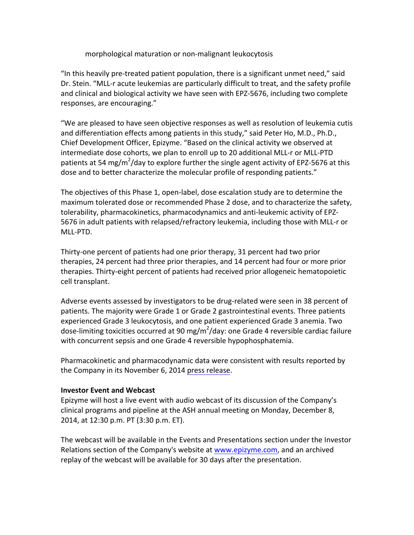# morphological maturation or non-malignant leukocytosis

"In this heavily pre-treated patient population, there is a significant unmet need," said Dr. Stein. "MLL-r acute leukemias are particularly difficult to treat, and the safety profile and clinical and biological activity we have seen with EPZ-5676, including two complete responses, are encouraging."

"We are pleased to have seen objective responses as well as resolution of leukemia cutis and differentiation effects among patients in this study," said Peter Ho, M.D., Ph.D., Chief Development Officer, Epizyme. "Based on the clinical activity we observed at intermediate dose cohorts, we plan to enroll up to 20 additional MLL-r or MLL-PTD patients at 54 mg/m<sup>2</sup>/day to explore further the single agent activity of EPZ-5676 at this dose and to better characterize the molecular profile of responding patients."

The objectives of this Phase 1, open-label, dose escalation study are to determine the maximum tolerated dose or recommended Phase 2 dose, and to characterize the safety, tolerability, pharmacokinetics, pharmacodynamics and anti-leukemic activity of EPZ-5676 in adult patients with relapsed/refractory leukemia, including those with MLL-r or MLL-PTD. 

Thirty-one percent of patients had one prior therapy, 31 percent had two prior therapies, 24 percent had three prior therapies, and 14 percent had four or more prior therapies. Thirty-eight percent of patients had received prior allogeneic hematopoietic cell transplant.

Adverse events assessed by investigators to be drug-related were seen in 38 percent of patients. The majority were Grade 1 or Grade 2 gastrointestinal events. Three patients experienced Grade 3 leukocytosis, and one patient experienced Grade 3 anemia. Two dose-limiting toxicities occurred at 90 mg/m<sup>2</sup>/day: one Grade 4 reversible cardiac failure with concurrent sepsis and one Grade 4 reversible hypophosphatemia.

Pharmacokinetic and pharmacodynamic data were consistent with results reported by the Company in its November 6, 2014 press release.

# **Investor Event and Webcast**

Epizyme will host a live event with audio webcast of its discussion of the Company's clinical programs and pipeline at the ASH annual meeting on Monday, December 8, 2014, at 12:30 p.m. PT (3:30 p.m. ET).

The webcast will be available in the Events and Presentations section under the Investor Relations section of the Company's website at www.epizyme.com, and an archived replay of the webcast will be available for 30 days after the presentation.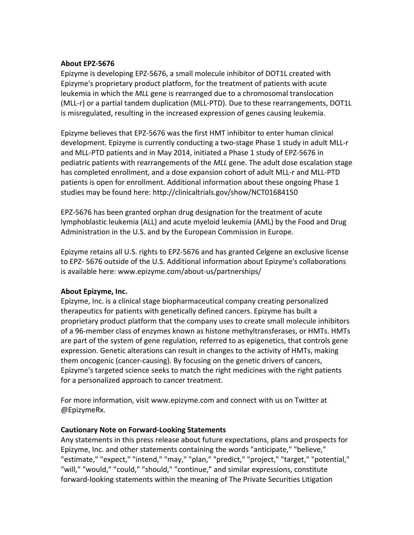### **About EPZ-5676**

Epizyme is developing EPZ-5676, a small molecule inhibitor of DOT1L created with Epizyme's proprietary product platform, for the treatment of patients with acute leukemia in which the MLL gene is rearranged due to a chromosomal translocation (MLL-r) or a partial tandem duplication (MLL-PTD). Due to these rearrangements, DOT1L is misregulated, resulting in the increased expression of genes causing leukemia.

Epizyme believes that EPZ-5676 was the first HMT inhibitor to enter human clinical development. Epizyme is currently conducting a two-stage Phase 1 study in adult MLL-r and MLL-PTD patients and in May 2014, initiated a Phase 1 study of EPZ-5676 in pediatric patients with rearrangements of the *MLL* gene. The adult dose escalation stage has completed enrollment, and a dose expansion cohort of adult MLL-r and MLL-PTD patients is open for enrollment. Additional information about these ongoing Phase 1 studies may be found here: http://clinicaltrials.gov/show/NCT01684150

EPZ-5676 has been granted orphan drug designation for the treatment of acute lymphoblastic leukemia (ALL) and acute myeloid leukemia (AML) by the Food and Drug Administration in the U.S. and by the European Commission in Europe.

Epizyme retains all U.S. rights to EPZ-5676 and has granted Celgene an exclusive license to EPZ- 5676 outside of the U.S. Additional information about Epizyme's collaborations is available here: www.epizyme.com/about-us/partnerships/

# **About Epizyme, Inc.**

Epizyme, Inc. is a clinical stage biopharmaceutical company creating personalized therapeutics for patients with genetically defined cancers. Epizyme has built a proprietary product platform that the company uses to create small molecule inhibitors of a 96-member class of enzymes known as histone methyltransferases, or HMTs. HMTs are part of the system of gene regulation, referred to as epigenetics, that controls gene expression. Genetic alterations can result in changes to the activity of HMTs, making them oncogenic (cancer-causing). By focusing on the genetic drivers of cancers, Epizyme's targeted science seeks to match the right medicines with the right patients for a personalized approach to cancer treatment.

For more information, visit www.epizyme.com and connect with us on Twitter at @EpizymeRx.

# **Cautionary Note on Forward-Looking Statements**

Any statements in this press release about future expectations, plans and prospects for Epizyme, Inc. and other statements containing the words "anticipate," "believe," "estimate," "expect," "intend," "may," "plan," "predict," "project," "target," "potential," "will," "would," "could," "should," "continue," and similar expressions, constitute forward-looking statements within the meaning of The Private Securities Litigation